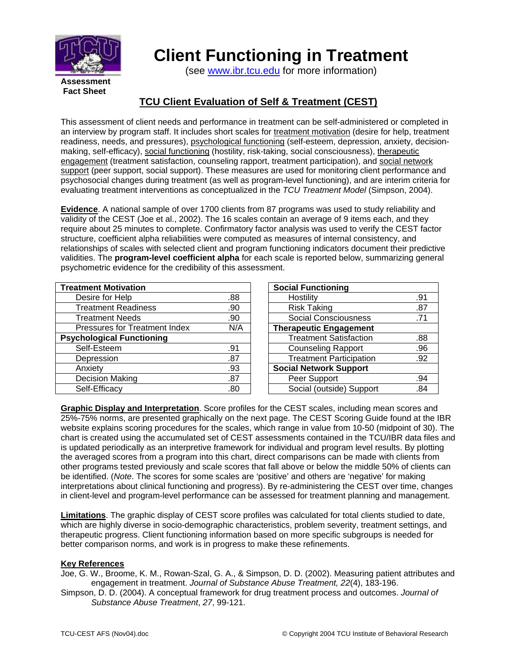

## **Client Functioning in Treatment**

(see [www.ibr.tcu.edu](http://www.ibr.tcu.edu/) for more information)

**Assessment Fact Sheet** 

## **TCU Client Evaluation of Self & Treatment (CEST)**

This assessment of client needs and performance in treatment can be self-administered or completed in an interview by program staff. It includes short scales for treatment motivation (desire for help, treatment readiness, needs, and pressures), psychological functioning (self-esteem, depression, anxiety, decisionmaking, self-efficacy), social functioning (hostility, risk-taking, social consciousness), therapeutic engagement (treatment satisfaction, counseling rapport, treatment participation), and social network support (peer support, social support). These measures are used for monitoring client performance and psychosocial changes during treatment (as well as program-level functioning), and are interim criteria for evaluating treatment interventions as conceptualized in the *TCU Treatment Model* (Simpson, 2004).

**Evidence**. A national sample of over 1700 clients from 87 programs was used to study reliability and validity of the CEST (Joe et al., 2002). The 16 scales contain an average of 9 items each, and they require about 25 minutes to complete. Confirmatory factor analysis was used to verify the CEST factor structure, coefficient alpha reliabilities were computed as measures of internal consistency, and relationships of scales with selected client and program functioning indicators document their predictive validities. The **program-level coefficient alpha** for each scale is reported below, summarizing general psychometric evidence for the credibility of this assessment.

| <b>Treatment Motivation</b>          |     |
|--------------------------------------|-----|
| Desire for Help                      | .88 |
| <b>Treatment Readiness</b>           | .90 |
| <b>Treatment Needs</b>               | .90 |
| <b>Pressures for Treatment Index</b> | N/A |
| <b>Psychological Functioning</b>     |     |
| Self-Esteem                          | .91 |
| Depression                           | .87 |
| Anxiety                              | .93 |
| <b>Decision Making</b>               | .87 |
| Self-Efficacy                        | .80 |

| <b>Social Functioning</b>      |     |
|--------------------------------|-----|
| Hostility                      | .91 |
| <b>Risk Taking</b>             | .87 |
| <b>Social Consciousness</b>    | .71 |
| <b>Therapeutic Engagement</b>  |     |
| <b>Treatment Satisfaction</b>  | .88 |
| <b>Counseling Rapport</b>      | .96 |
| <b>Treatment Participation</b> | .92 |
| <b>Social Network Support</b>  |     |
| Peer Support                   | .94 |
| Social (outside) Support       | 84  |

**Graphic Display and Interpretation**. Score profiles for the CEST scales, including mean scores and 25%-75% norms, are presented graphically on the next page. The CEST Scoring Guide found at the IBR website explains scoring procedures for the scales, which range in value from 10-50 (midpoint of 30). The chart is created using the accumulated set of CEST assessments contained in the TCU/IBR data files and is updated periodically as an interpretive framework for individual and program level results. By plotting the averaged scores from a program into this chart, direct comparisons can be made with clients from other programs tested previously and scale scores that fall above or below the middle 50% of clients can be identified. (*Note*. The scores for some scales are 'positive' and others are 'negative' for making interpretations about clinical functioning and progress). By re-administering the CEST over time, changes in client-level and program-level performance can be assessed for treatment planning and management.

**Limitations**. The graphic display of CEST score profiles was calculated for total clients studied to date, which are highly diverse in socio-demographic characteristics, problem severity, treatment settings, and therapeutic progress. Client functioning information based on more specific subgroups is needed for better comparison norms, and work is in progress to make these refinements.

## **Key References**

- Joe, G. W., Broome, K. M., Rowan-Szal, G. A., & Simpson, D. D. (2002). Measuring patient attributes and engagement in treatment. *Journal of Substance Abuse Treatment, 22*(4), 183-196.
- Simpson, D. D. (2004). A conceptual framework for drug treatment process and outcomes. *Journal of Substance Abuse Treatment*, *27*, 99-121.